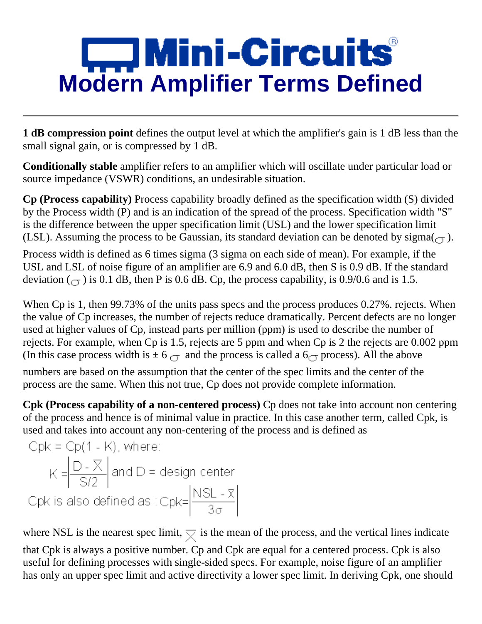# **Mini-Circuits<br>Modern Amplifier Terms Defined**

**1 dB compression point** defines the output level at which the amplifier's gain is 1 dB less than the small signal gain, or is compressed by 1 dB.

**Conditionally stable** amplifier refers to an amplifier which will oscillate under particular load or source impedance (VSWR) conditions, an undesirable situation.

**Cp (Process capability)** Process capability broadly defined as the specification width (S) divided by the Process width (P) and is an indication of the spread of the process. Specification width "S" is the difference between the upper specification limit (USL) and the lower specification limit (LSL). Assuming the process to be Gaussian, its standard deviation can be denoted by sigma $(\tau)$ .

Process width is defined as 6 times sigma (3 sigma on each side of mean). For example, if the USL and LSL of noise figure of an amplifier are 6.9 and 6.0 dB, then S is 0.9 dB. If the standard deviation  $(\sigma)$  is 0.1 dB, then P is 0.6 dB. Cp, the process capability, is 0.9/0.6 and is 1.5.

When Cp is 1, then 99.73% of the units pass specs and the process produces 0.27%. rejects. When the value of Cp increases, the number of rejects reduce dramatically. Percent defects are no longer used at higher values of Cp, instead parts per million (ppm) is used to describe the number of rejects. For example, when Cp is 1.5, rejects are 5 ppm and when Cp is 2 the rejects are 0.002 ppm (In this case process width is  $\pm 6$   $\rightarrow \pm 6$  and the process is called a 6 $\rightarrow \pm 6$  process). All the above

numbers are based on the assumption that the center of the spec limits and the center of the process are the same. When this not true, Cp does not provide complete information.

**Cpk (Process capability of a non-centered process)** Cp does not take into account non centering of the process and hence is of minimal value in practice. In this case another term, called Cpk, is used and takes into account any non-centering of the process and is defined as

\n
$$
\text{Cpk} = \text{Cp}(1 - \text{K}), \text{ where:}
$$
\n

\n\n $\text{K} = \left| \frac{\text{D} - \overline{\text{X}}}{\text{S/2}} \right| \text{ and } \text{D} = \text{design center}$ \n

\n\n $\text{Cpk is also defined as:} \text{Cpk} = \left| \frac{\text{NSL} - \overline{\text{X}}}{3\sigma} \right|$ \n

where NSL is the nearest spec limit,  $\overline{\times}$  is the mean of the process, and the vertical lines indicate

that Cpk is always a positive number. Cp and Cpk are equal for a centered process. Cpk is also useful for defining processes with single-sided specs. For example, noise figure of an amplifier has only an upper spec limit and active directivity a lower spec limit. In deriving Cpk, one should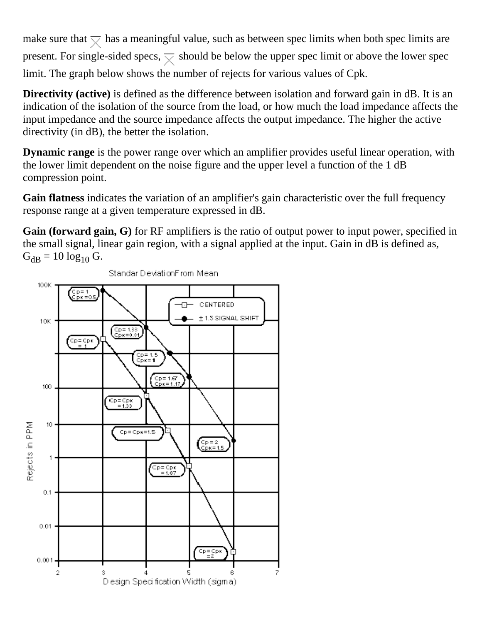make sure that  $\overline{\mathbf{v}}$  has a meaningful value, such as between spec limits when both spec limits are present. For single-sided specs,  $\overline{\times}$  should be below the upper spec limit or above the lower spec limit. The graph below shows the number of rejects for various values of Cpk.

**Directivity (active)** is defined as the difference between isolation and forward gain in dB. It is an indication of the isolation of the source from the load, or how much the load impedance affects the input impedance and the source impedance affects the output impedance. The higher the active directivity (in dB), the better the isolation.

**Dynamic range** is the power range over which an amplifier provides useful linear operation, with the lower limit dependent on the noise figure and the upper level a function of the 1 dB compression point.

**Gain flatness** indicates the variation of an amplifier's gain characteristic over the full frequency response range at a given temperature expressed in dB.

**Gain (forward gain, G)** for RF amplifiers is the ratio of output power to input power, specified in the small signal, linear gain region, with a signal applied at the input. Gain in dB is defined as,  $G_{dB} = 10 \log_{10} G$ .



Standar DeviationFrom Mean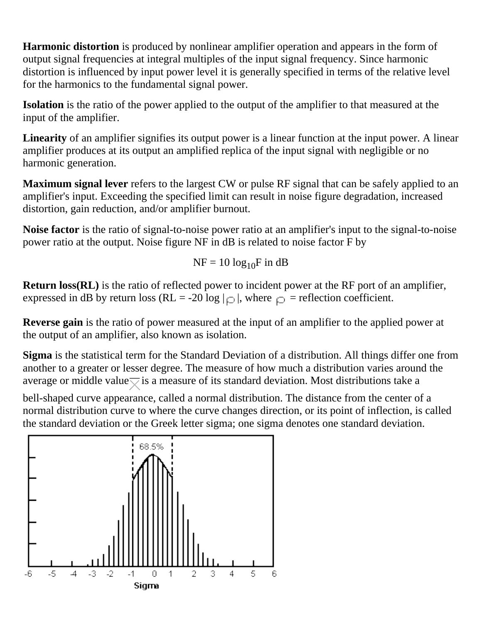**Harmonic distortion** is produced by nonlinear amplifier operation and appears in the form of output signal frequencies at integral multiples of the input signal frequency. Since harmonic distortion is influenced by input power level it is generally specified in terms of the relative level for the harmonics to the fundamental signal power.

**Isolation** is the ratio of the power applied to the output of the amplifier to that measured at the input of the amplifier.

**Linearity** of an amplifier signifies its output power is a linear function at the input power. A linear amplifier produces at its output an amplified replica of the input signal with negligible or no harmonic generation.

**Maximum signal lever** refers to the largest CW or pulse RF signal that can be safely applied to an amplifier's input. Exceeding the specified limit can result in noise figure degradation, increased distortion, gain reduction, and/or amplifier burnout.

**Noise factor** is the ratio of signal-to-noise power ratio at an amplifier's input to the signal-to-noise power ratio at the output. Noise figure NF in dB is related to noise factor F by

$$
NF = 10 \log_{10} F \text{ in dB}
$$

**Return loss(RL)** is the ratio of reflected power to incident power at the RF port of an amplifier, expressed in dB by return loss (RL = -20 log  $|_{\Omega}$ ), where  $_{\Omega}$  = reflection coefficient.

**Reverse gain** is the ratio of power measured at the input of an amplifier to the applied power at the output of an amplifier, also known as isolation.

**Sigma** is the statistical term for the Standard Deviation of a distribution. All things differ one from another to a greater or lesser degree. The measure of how much a distribution varies around the average or middle value $\overline{\nabla}$  is a measure of its standard deviation. Most distributions take a

bell-shaped curve appearance, called a normal distribution. The distance from the center of a normal distribution curve to where the curve changes direction, or its point of inflection, is called the standard deviation or the Greek letter sigma; one sigma denotes one standard deviation.

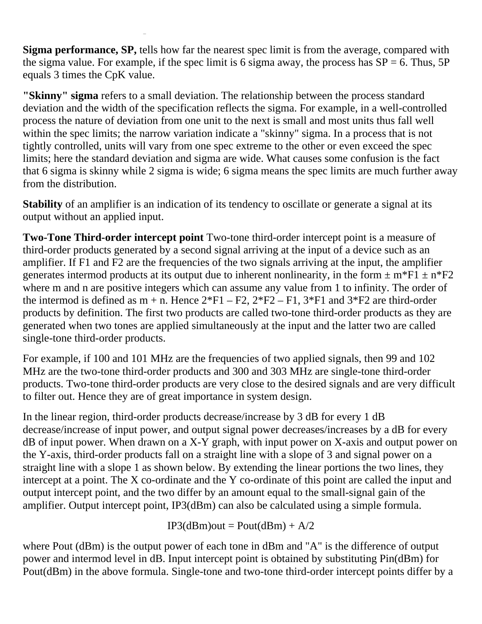**Sigma performance, SP,** tells how far the nearest spec limit is from the average, compared with the sigma value. For example, if the spec limit is 6 sigma away, the process has  $SP = 6$ . Thus, 5P equals 3 times the CpK value.

**"Skinny" sigma** refers to a small deviation. The relationship between the process standard deviation and the width of the specification reflects the sigma. For example, in a well-controlled process the nature of deviation from one unit to the next is small and most units thus fall well within the spec limits; the narrow variation indicate a "skinny" sigma. In a process that is not tightly controlled, units will vary from one spec extreme to the other or even exceed the spec limits; here the standard deviation and sigma are wide. What causes some confusion is the fact that 6 sigma is skinny while 2 sigma is wide; 6 sigma means the spec limits are much further away from the distribution.

**Stability** of an amplifier is an indication of its tendency to oscillate or generate a signal at its output without an applied input.

**Two-Tone Third-order intercept point** Two-tone third-order intercept point is a measure of third-order products generated by a second signal arriving at the input of a device such as an amplifier. If F1 and F2 are the frequencies of the two signals arriving at the input, the amplifier generates intermod products at its output due to inherent nonlinearity, in the form  $\pm$  m\*F1  $\pm$  n\*F2 where m and n are positive integers which can assume any value from 1 to infinity. The order of the intermod is defined as  $m + n$ . Hence  $2*F1 - F2$ ,  $2*F2 - F1$ ,  $3*F1$  and  $3*F2$  are third-order products by definition. The first two products are called two-tone third-order products as they are generated when two tones are applied simultaneously at the input and the latter two are called single-tone third-order products.

For example, if 100 and 101 MHz are the frequencies of two applied signals, then 99 and 102 MHz are the two-tone third-order products and 300 and 303 MHz are single-tone third-order products. Two-tone third-order products are very close to the desired signals and are very difficult to filter out. Hence they are of great importance in system design.

In the linear region, third-order products decrease/increase by 3 dB for every 1 dB decrease/increase of input power, and output signal power decreases/increases by a dB for every  $dB$  of input power. When drawn on a X-Y graph, with input power on X-axis and output power on the Y-axis, third-order products fall on a straight line with a slope of 3 and signal power on a straight line with a slope 1 as shown below. By extending the linear portions the two lines, they intercept at a point. The X co-ordinate and the Y co-ordinate of this point are called the input and output intercept point, and the two differ by an amount equal to the small-signal gain of the amplifier. Output intercept point, IP3(dBm) can also be calculated using a simple formula.

 $IP3(dBm)$ out = Pout(dBm) + A/2

where Pout (dBm) is the output power of each tone in dBm and "A" is the difference of output power and intermod level in dB. Input intercept point is obtained by substituting Pin(dBm) for Pout(dBm) in the above formula. Single-tone and two-tone third-order intercept points differ by a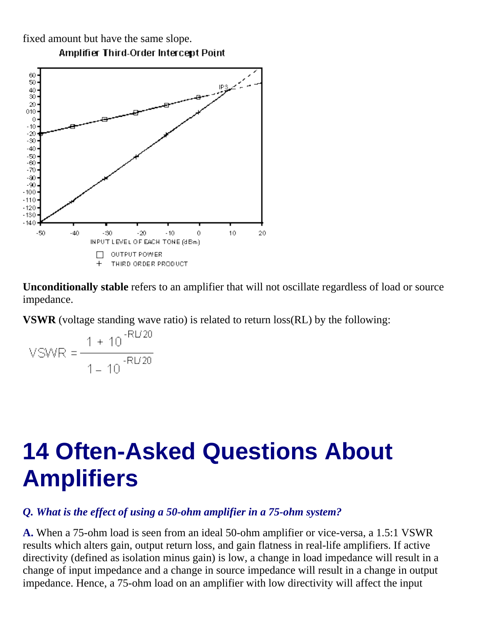fixed amount but have the same slope.



**Amplifier Third-Order Intercept Point** 

**Unconditionally stable** refers to an amplifier that will not oscillate regardless of load or source impedance.

**VSWR** (voltage standing wave ratio) is related to return loss(RL) by the following:

$$
VSWR = \frac{1 + 10^{-RU20}}{1 - 10^{-RU20}}
$$

# **14 Often-Asked Questions About Amplifiers**

# *Q. What is the effect of using a 50-ohm amplifier in a 75-ohm system?*

**A.** When a 75-ohm load is seen from an ideal 50-ohm amplifier or vice-versa, a 1.5:1 VSWR results which alters gain, output return loss, and gain flatness in real-life amplifiers. If active directivity (defined as isolation minus gain) is low, a change in load impedance will result in a change of input impedance and a change in source impedance will result in a change in output impedance. Hence, a 75-ohm load on an amplifier with low directivity will affect the input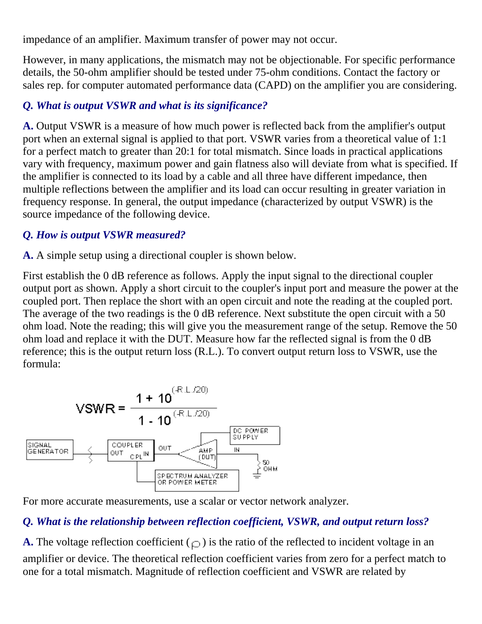impedance of an amplifier. Maximum transfer of power may not occur.

However, in many applications, the mismatch may not be objectionable. For specific performance details, the 50-ohm amplifier should be tested under 75-ohm conditions. Contact the factory or sales rep. for computer automated performance data (CAPD) on the amplifier you are considering.

# *Q. What is output VSWR and what is its significance?*

**A.** Output VSWR is a measure of how much power is reflected back from the amplifier's output port when an external signal is applied to that port. VSWR varies from a theoretical value of 1:1 for a perfect match to greater than 20:1 for total mismatch. Since loads in practical applications vary with frequency, maximum power and gain flatness also will deviate from what is specified. If the amplifier is connected to its load by a cable and all three have different impedance, then multiple reflections between the amplifier and its load can occur resulting in greater variation in frequency response. In general, the output impedance (characterized by output VSWR) is the source impedance of the following device.

# *Q. How is output VSWR measured?*

**A.** A simple setup using a directional coupler is shown below.

First establish the 0 dB reference as follows. Apply the input signal to the directional coupler output port as shown. Apply a short circuit to the coupler's input port and measure the power at the coupled port. Then replace the short with an open circuit and note the reading at the coupled port. The average of the two readings is the 0 dB reference. Next substitute the open circuit with a 50 ohm load. Note the reading; this will give you the measurement range of the setup. Remove the 50 ohm load and replace it with the DUT. Measure how far the reflected signal is from the 0 dB reference; this is the output return loss (R.L.). To convert output return loss to VSWR, use the formula:



For more accurate measurements, use a scalar or vector network analyzer.

# *Q. What is the relationship between reflection coefficient, VSWR, and output return loss?*

**A.** The voltage reflection coefficient  $(\rho)$  is the ratio of the reflected to incident voltage in an amplifier or device. The theoretical reflection coefficient varies from zero for a perfect match to one for a total mismatch. Magnitude of reflection coefficient and VSWR are related by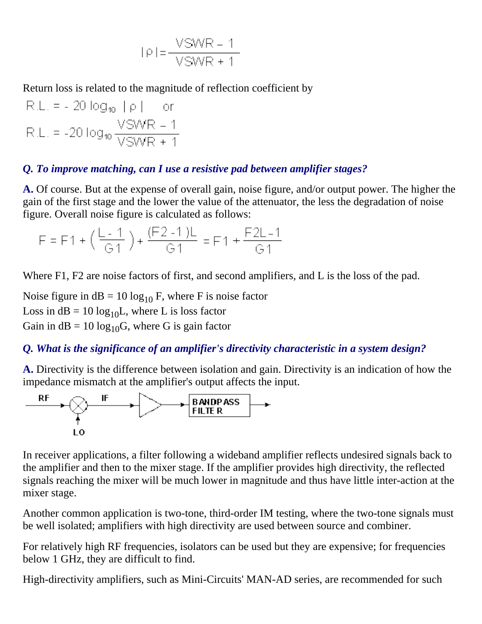$$
|\rho| = \frac{VSWR - 1}{VSWR + 1}
$$

Return loss is related to the magnitude of reflection coefficient by

 $R.L. = -20 log_{10} |\rho|$ or R.L. = -20  $log_{10} \frac{VSWR - 1}{VSWR + 1}$ 

#### *Q. To improve matching, can I use a resistive pad between amplifier stages?*

**A.** Of course. But at the expense of overall gain, noise figure, and/or output power. The higher the gain of the first stage and the lower the value of the attenuator, the less the degradation of noise figure. Overall noise figure is calculated as follows:

$$
F = F1 + \left(\frac{L-1}{G1}\right) + \frac{(F2-1)L}{G1} = F1 + \frac{F2L-1}{G1}
$$

Where F1, F2 are noise factors of first, and second amplifiers, and L is the loss of the pad.

Noise figure in  $dB = 10 \log_{10} F$ , where F is noise factor Loss in  $dB = 10 \log_{10} L$ , where L is loss factor Gain in  $dB = 10 \log_{10} G$ , where G is gain factor

#### *Q. What is the significance of an amplifier's directivity characteristic in a system design?*

**A.** Directivity is the difference between isolation and gain. Directivity is an indication of how the impedance mismatch at the amplifier's output affects the input.



In receiver applications, a filter following a wideband amplifier reflects undesired signals back to the amplifier and then to the mixer stage. If the amplifier provides high directivity, the reflected signals reaching the mixer will be much lower in magnitude and thus have little inter-action at the mixer stage.

Another common application is two-tone, third-order IM testing, where the two-tone signals must be well isolated; amplifiers with high directivity are used between source and combiner.

For relatively high RF frequencies, isolators can be used but they are expensive; for frequencies below 1 GHz, they are difficult to find.

High-directivity amplifiers, such as Mini-Circuits' MAN-AD series, are recommended for such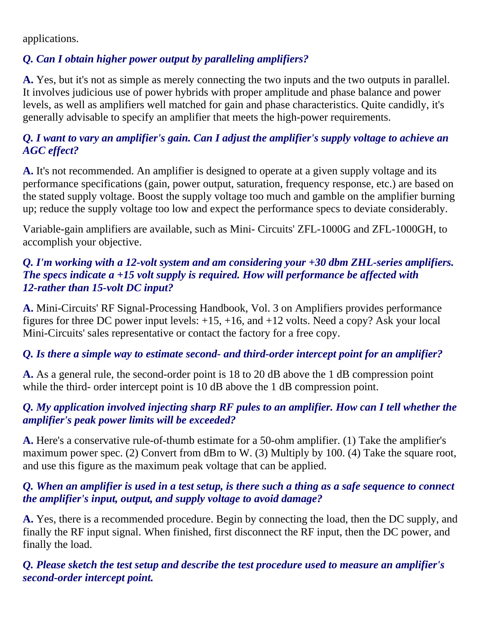applications.

# *Q. Can I obtain higher power output by paralleling amplifiers?*

**A.** Yes, but it's not as simple as merely connecting the two inputs and the two outputs in parallel. It involves judicious use of power hybrids with proper amplitude and phase balance and power levels, as well as amplifiers well matched for gain and phase characteristics. Quite candidly, it's generally advisable to specify an amplifier that meets the high-power requirements.

# *Q. I want to vary an amplifier's gain. Can I adjust the amplifier's supply voltage to achieve an AGC effect?*

**A.** It's not recommended. An amplifier is designed to operate at a given supply voltage and its performance specifications (gain, power output, saturation, frequency response, etc.) are based on the stated supply voltage. Boost the supply voltage too much and gamble on the amplifier burning up; reduce the supply voltage too low and expect the performance specs to deviate considerably.

Variable-gain amplifiers are available, such as Mini- Circuits' ZFL-1000G and ZFL-1000GH, to accomplish your objective.

#### *Q. I'm working with a 12-volt system and am considering your +30 dbm ZHL-series amplifiers. The specs indicate a +15 volt supply is required. How will performance be affected with 12-rather than 15-volt DC input?*

**A.** Mini-Circuits' RF Signal-Processing Handbook, Vol. 3 on Amplifiers provides performance figures for three DC power input levels:  $+15$ ,  $+16$ , and  $+12$  volts. Need a copy? Ask your local Mini-Circuits' sales representative or contact the factory for a free copy.

# *Q. Is there a simple way to estimate second- and third-order intercept point for an amplifier?*

**A.** As a general rule, the second-order point is 18 to 20 dB above the 1 dB compression point while the third- order intercept point is 10 dB above the 1 dB compression point.

# *Q. My application involved injecting sharp RF pules to an amplifier. How can I tell whether the amplifier's peak power limits will be exceeded?*

**A.** Here's a conservative rule-of-thumb estimate for a 50-ohm amplifier. (1) Take the amplifier's maximum power spec. (2) Convert from dBm to W. (3) Multiply by 100. (4) Take the square root, and use this figure as the maximum peak voltage that can be applied.

#### *Q. When an amplifier is used in a test setup, is there such a thing as a safe sequence to connect the amplifier's input, output, and supply voltage to avoid damage?*

**A.** Yes, there is a recommended procedure. Begin by connecting the load, then the DC supply, and finally the RF input signal. When finished, first disconnect the RF input, then the DC power, and finally the load.

*Q. Please sketch the test setup and describe the test procedure used to measure an amplifier's second-order intercept point.*